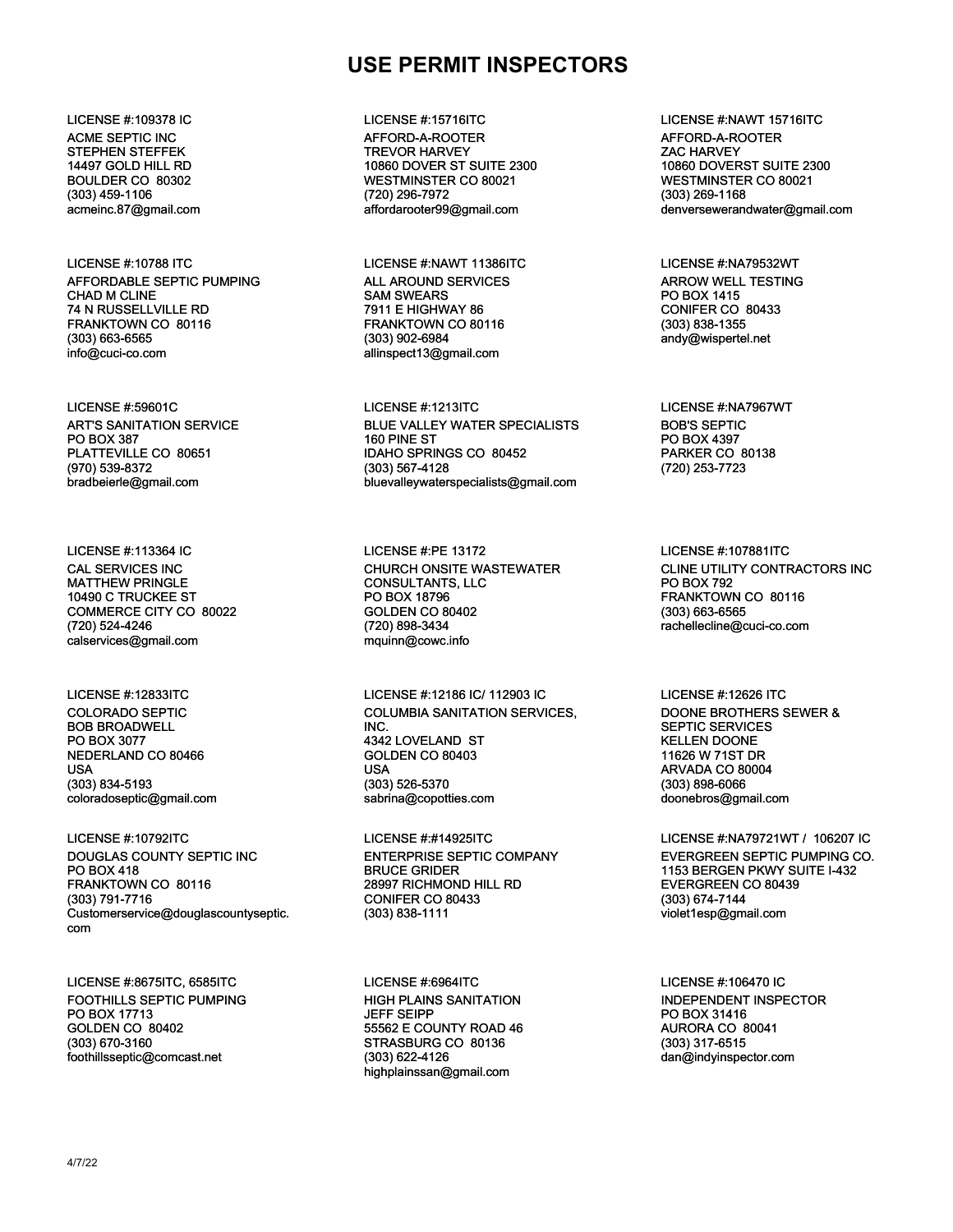## **USE PERMIT INSPECTORS**

ACME SEPTIC INC STEPHEN STEFFEK 14497 GOLD HILL RD BOULDER CO 80302 (303) 459-1106 acmeinc.87@gmail.com

LICENSE #:10788 ITC LICENSE #:NAWT 11386ITC LICENSE #:NA79532WT AFFORDABLE SEPTIC PUMPING CHAD M CLINE 74 N RUSSELLVILLE RD FRANKTOWN CO 80116 (303) 663-6565 info@cuci-co.com

ART'S SANITATION SERVICE PO BOX 387 PLATTEVILLE CO 80651 (970) 539-8372 bradbeierle@gmail.com

CAL SERVICES INC MATTHEW PRINGLE 10490 C TRUCKEE ST COMMERCE CITY CO 80022 (720) 524-4246 calservices@gmail.com

COLORADO SEPTIC BOB BROADWELL PO BOX 3077 NEDERLAND CO 80466 USA (303) 834-5193 coloradoseptic@gmail.com

LICENSE #:10792ITC LICENSE #:#14925ITC LICENSE #:NA79721WT / 106207 IC DOUGLAS COUNTY SEPTIC INC PO BOX 418 FRANKTOWN CO 80116 (303) 791-7716 Customerservice@douglascountyseptic. com

LICENSE #:8675ITC, 6585ITC LICENSE #:6964ITC LICENSE #:106470 IC FOOTHILLS SEPTIC PUMPING PO BOX 17713 GOLDEN CO 80402 (303) 670-3160 foothillsseptic@comcast.net

AFFORD-A-ROOTER TREVOR HARVEY 10860 DOVER ST SUITE 2300 WESTMINSTER CO 80021 (720) 296-7972 affordarooter99@gmail.com

ALL AROUND SERVICES SAM SWEARS 7911 E HIGHWAY 86 FRANKTOWN CO 80116 (303) 902-6984 allinspect13@gmail.com

LICENSE #:59601C LICENSE #:1213ITC LICENSE #:NA7967WT BLUE VALLEY WATER SPECIALISTS 160 PINE ST IDAHO SPRINGS CO 80452 (303) 567-4128 bluevalleywaterspecialists@gmail.com

LICENSE #:113364 IC LICENSE #:PE 13172 LICENSE #:107881ITC CHURCH ONSITE WASTEWATER CONSULTANTS, LLC PO BOX 18796 GOLDEN CO 80402 (720) 898-3434 mquinn@cowc.info

LICENSE #:12833ITC LICENSE #:12186 IC/ 112903 IC LICENSE #:12626 ITC COLUMBIA SANITATION SERVICES, INC. 4342 LOVELAND ST GOLDEN CO 80403 USA (303) 526-5370 sabrina@copotties.com

> ENTERPRISE SEPTIC COMPANY BRUCE GRIDER 28997 RICHMOND HILL RD CONIFER CO 80433 (303) 838-1111

HIGH PLAINS SANITATION JEFF SEIPP 55562 E COUNTY ROAD 46 STRASBURG CO 80136 (303) 622-4126 highplainssan@gmail.com

LICENSE #:109378 IC LICENSE #:15716ITC LICENSE #:NAWT 15716ITC AFFORD-A-ROOTER ZAC HARVEY 10860 DOVERST SUITE 2300 WESTMINSTER CO 80021 (303) 269-1168 denversewerandwater@gmail.com

> ARROW WELL TESTING PO BOX 1415 CONIFER CO 80433 (303) 838-1355 andy@wispertel.net

BOB'S SEPTIC PO BOX 4397 PARKER CO 80138 (720) 253-7723

CLINE UTILITY CONTRACTORS INC PO BOX 792 FRANKTOWN CO 80116 (303) 663-6565 rachellecline@cuci-co.com

DOONE BROTHERS SEWER & SEPTIC SERVICES KELLEN DOONE 11626 W 71ST DR ARVADA CO 80004 (303) 898-6066 doonebros@gmail.com

EVERGREEN SEPTIC PUMPING CO. 1153 BERGEN PKWY SUITE I-432 EVERGREEN CO 80439 (303) 674-7144 violet1esp@gmail.com

INDEPENDENT INSPECTOR PO BOX 31416 AURORA CO 80041 (303) 317-6515 dan@indyinspector.com